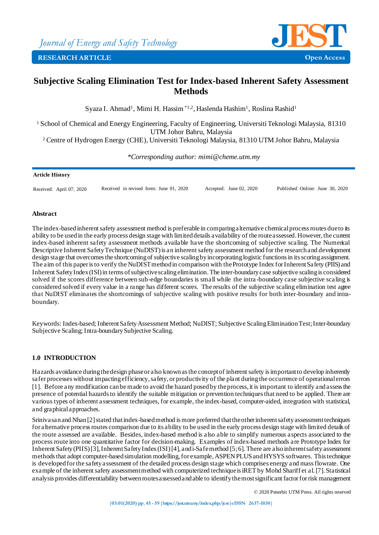

# **Subjective Scaling Elimination Test for Index-based Inherent Safety Assessment Methods**

Syaza I. Ahmad<sup>1</sup>, Mimi H. Hassim \*1.2, Haslenda Hashim<sup>1</sup>, Roslina Rashid<sup>1</sup>

<sup>1</sup>School of Chemical and Energy Engineering, Faculty of Engineering, Universiti Teknologi Malaysia, 81310 UTM Johor Bahru, Malaysia

<sup>2</sup>Centre of Hydrogen Energy (CHE), Universiti Teknologi Malaysia, 81310 UTM Johor Bahru, Malaysia

*\*Corresponding author: mimi@cheme.utm.my*

#### **Article History**

Received: April 07, 2020 Received in revised form: June 01, 2020 Accepted: June 02, 2020 Published Online: June 30, 2020

#### **Abstract**

The index-based inherent safety assessment method is preferable in comparing alternative chemical process routes due to its ability to be used in the early process design stage with limited details availability of the route assessed. However, the current index-based inherent safety assessment methods available have the shortcoming of subjective scaling. The Numerical Descriptive Inherent Safety Technique (NuDIST) is an inherent safety assessment method for the research and development design stage that overcomes the shortcoming of subjective scaling by incorporating logistic functions in its scoring assignment. The aim of this paper is to verify the NuDIST method in comparison with the Prototype Index for Inherent Safety (PIIS) and Inherent Safety Index (ISI) in terms of subjective scaling elimination. The inter-boundary case subjective scaling is considered solved if the scores difference between sub-edge boundaries is small while the intra -boundary case subjective scaling is considered solved if every value in a range has different scores. The results of the subjective scaling elimination test agree that NuDIST eliminates the shortcomings of subjective scaling with positive results for both inter-boundary and intraboundary.

Keywords: Index-based; Inherent Safety Assessment Method; NuDIST; Subjective Scaling Elimination Test; Inter-boundary Subjective Scaling; Intra-boundary Subjective Scaling.

# **1.0 INTRODUCTION**

Hazards avoidance during the design phase or also known as the concept of inherent safety is important to develop inherently safer processes without impacting efficiency, safety, or productivity of the plant during the occurrence of operational errors [1]. Before any modification can be made to avoid the hazard posed by the process, it is important to identify and assess the presence of potential hazards to identify the suitable mitigation or prevention techniques that need to be applied. There are various types of inherent assessment techniques, for example, the index-based, computer-aided, integration with statistical, and graphical approaches.

Srinivasan and Nhan [2] stated that index-based method is more preferred that the other inherent safety assessment techniques for alternative process routes comparison due to its ability to be used in the early process design stage with limited details of the route assessed are available. Besides, index-based method is also able to simplify numerous aspects associated to the process route into one quantitative factor for decision-making. Examples of index-based methods are Prototype Index for Inherent Safety (PIIS) [3], Inherent Safety Index (ISI) [4], and i-Safe method [5; 6]. There are also inherent safety assessment methods that adopt computer-based simulation modelling, for example, ASPEN PLUS and HYSYS softwares. This technique is developed for the safety assessment of the detailed process design stage which comprises energy and mass flowrate. One example of the inherent safety assessment method with computerized technique is iRET by Mohd Shariff et al. [7]. Statistical analysis provides differentiability between routes assessed and able to identifythe most significant factorfor risk management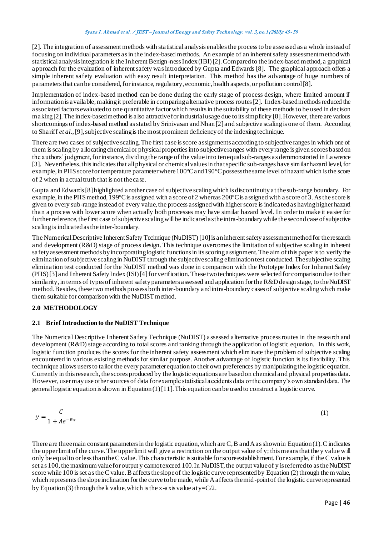[2]. The integration of assessment methods with statistical analysis enablesthe process to be assessed as a whole instead of focusing on individual parameters as in the index-based methods. An example of an inherent safety assessment method with statistical analysis integration is the Inherent Benign-ness Index (IBI) [2]. Compared to the index-based method, a graphical approach for the evaluation of inherent safety was introduced by Gupta and Edwards [8]. The graphical approach offers a simple inherent safety evaluation with easy result interpretation. This method has the advantage of huge numbers of parameters that can be considered,for instance, regulatory, economic, health aspects, or pollution control [8].

Implementation of index-based method can be done during the early stage of process design, where limited amount if information is available, making it preferable in comparing alternative process routes [2]. Index-based methods reduced the associated factors evaluatedto one quantitative factorwhich results in the suitability of these methods to be used in decision making[2].The index-based method is also attractive for industrial usage due to itssimplicity [8]. However, there are various shortcomings of index-based method as stated by Srinivasan and Nhan [2] and subjective scaling is one of them. According to Shariff *et al*., [9], subjective scaling is the most prominent deficiency of the indexing technique.

There are two cases of subjective scaling. The first case is score assignments according to subjective ranges in which one of them is scaling by allocating chemical or physical properties into subjective ranges with every range is given scores based on the authors' judgment,for instance, dividing the range of the value into ten equal sub-ranges as demmonstrated in Lawrence [3]. Nevertheless, this indicates that all physical or chemical values in that specific sub-ranges have similar hazard level, for example, in PIIS score for temperature parameter where  $100^{\circ}$ C and  $190^{\circ}$ C possess the same level of hazard which is the score of 2 when in actual truth that is not the case.

Gupta and Edwards [8] highlighted another case of subjective scaling which is discontinuity at the sub-range boundary. For example, in the PIIS method, 199 $^{\circ}$ C is assigned with a score of 2 whereas 200 $^{\circ}$ C is assigned with a score of 3. As the score is given to every sub-range instead of every value, the process assigned with higher score is indicated as having higher hazard than a process with lower score when actually both processes may have similar hazard level. In order to make it easier for further reference, the first case of subjective scaling will be indicated as the intra-boundary while the second case of subjective scaling is indicated as the inter-boundary.

The Numerical Descriptive Inherent Safety Technique (NuDIST) [10]is an inherent safety assessment method for the research and development (R&D) stage of process design. This technique overcomes the limitation of subjective scaling in inherent safety assessment methods by incorporating logistic functions in its scoring assignment. The aim of this paper is to verify the elimination of subjective scaling in NuDIST through the subjective scaling eliminationtest conducted. The subjective scaling elimination test conducted for the NuDIST method was done in comparison with the Prototype Index for Inherent Safety (PIIS) [3] and Inherent Safety Index (ISI) [4]for verification. These two techniques were selectedfor comparison due to their similarity, in terms of types of inherent safety parameters assessed and application for the R&D design stage, to the NuDIST method. Besides, these two methods possess both inter-boundary and intra-boundary cases of subjective scaling which make them suitable for comparison with the NuDIST method.

# **2.0 METHODOLOGY**

# **2.1 Brief Introduction to the NuDIST Technique**

The Numerical Descriptive Inherent Safety Technique (NuDIST) assessed alternative process routes in the research and development (R&D) stage according to total scores and ranking through the application of logistic equation. In this work, logistic function produces the scores for the inherent safety assessment which eliminate the problem of subjective scaling encountered in various existing methods for similar purpose. Another advantage of logistic function is its flexibility. This technique allows users to tailor the every parameter equation to their own preferences by manipulating the logistic equation. Currently in this research, the scores produced by the logistic equations are based on chemical and physical properties data. However, user may use other sources of data for example statistical accidents data or the company's own standard data. The general logistic equation is shown in Equation(1) [11]. This equation can be used to construct a logistic curve.

$$
y = \frac{C}{1 + Ae^{-Bx}}\tag{1}
$$

There are three main constant parameters in the logistic equation, which are C, B and A as shown in Equation(1). C indicates the upper limit of the curve. The upper limit will give a restriction on the output value of y; this means that the y value will only be equal to or less than the C value. This characteristic is suitable for score establishment. For example, if the C value is set as 100, the maximum value for output y cannot exceed 100. In NuDIST, the output value of y is referred to as the NuDIST score while 100 is set as the C value. B affects the slope of the logistic curve represented by Equation (2) through the m value, which represents the slope inclination for the curve to be made, while A affects the mid-point of the logistic curve represented by Equation(3) through the k value, which is the x-axis value at  $y=C/2$ .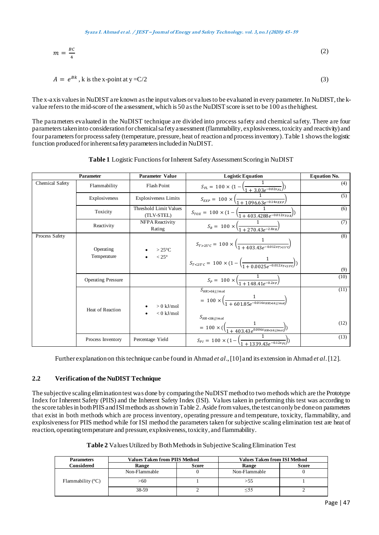$$
m = \frac{BC}{4} \tag{2}
$$

$$
A = e^{Bk}, k \text{ is the x-point at } y = C/2 \tag{3}
$$

The x-axis values in NuDIST are known as the input values or values to be evaluated in every parameter. In NuDIST, the kvalue refers to the mid-score of the assessment, which is 50 as the NuDIST score is set to be 100 as the highest.

The parameters evaluated in the NuDIST technique are divided into process safety and chemical safety. There are four parameters taken into consideration for chemical safety assessment (flammability, explosiveness, toxicity and reactivity) and four parameters for process safety (temperature, pressure, heat of reaction and process inventory).Table 1 shows the logistic function produced for inherent safety parameters included in NuDIST.

|                 | <b>Parameter</b>          | <b>Parameter Value</b>               | <b>Logistic Equation</b>                                                                                                                                                                               | <b>Equation No.</b> |
|-----------------|---------------------------|--------------------------------------|--------------------------------------------------------------------------------------------------------------------------------------------------------------------------------------------------------|---------------------|
| Chemical Safety | Flammability              | <b>Flash Point</b>                   | $S_{FL} = 100 \times (1 - \left(\frac{1}{1 + 3.03e^{-0.02x_{FL}}}\right))$                                                                                                                             | (4)                 |
|                 | Explosiveness             | <b>Explosiveness Limits</b>          | $S_{EXP} = 100 \times \left(\frac{1}{1 + 1096.63e^{-0.14x_{EXP}}}\right)$                                                                                                                              | (5)                 |
|                 | Toxicity                  | Threshold Limit Values<br>(TLV-STEL) | $S_{TOX} = 100 \times (1 - \left(\frac{1}{1 + 403.4288e^{-0.012x_{TOX}}}\right))$                                                                                                                      | (6)                 |
|                 | Reactivity                | <b>NFPA Reactivity</b><br>Rating     | $S_R = 100 \times \left(\frac{1}{1 + 270.43e^{-2.8x_R}}\right)$                                                                                                                                        | (7)                 |
| Process Safety  | Operating<br>Temperature  | $>25^{\circ}$ C<br>$< 25^{\circ}$    | $S_{T>25^{\circ}C} = 100 \times \left(\frac{1}{1 + 403.43e^{-0.012x_{T>25^{\circ}C}}}\right)$<br>$S_{T<25^{\circ}C} = 100 \times (1 - \left(\frac{1}{1 + 0.0025e^{-0.012x_{T<25^{\circ}C}}}\right))$   | (8)<br>(9)          |
|                 | <b>Operating Pressure</b> |                                      | $S_p = 100 \times \left(\frac{1}{1 + 148.41e^{-0.2xp}}\right)$                                                                                                                                         | (10)                |
|                 | Heat of Reaction          | $> 0$ kJ/mol<br>$< 0$ kJ/mol<br>٠    | $S_{HR>0kJ/mol}$<br>= $100 \times \left( \frac{1}{1 + 60185e^{-0.016xHR > 0 kJ/mol}} \right)$<br>$S_{HR < 0 kJ/mol}$<br>= $100 \times (\left(\frac{1}{1 + 403.43e^{0.006x_{HR} \le 0 kJ/mol}}\right))$ | (11)<br>(12)        |
|                 | Process Inventory         | Percentage Yield                     | $S_{PI} = 100 \times (1 - \left(\frac{1}{1 + 1339.43e^{-0.12x_{PI}}}\right))$                                                                                                                          | (13)                |

**Table 1** Logistic Functions for Inherent Safety Assessment Scoring in NuDIST

Further explanation on this technique can be found in Ahmad *et al*., [10] and its extension in Ahmad *et al*.[12].

# **2.2 Verification of the NuDIST Technique**

The subjective scaling elimination test was done by comparing the NuDIST method to two methods which are the Prototype Index for Inherent Safety (PIIS) and the Inherent Safety Index (ISI). Values taken in performing this test was according to the score tables in both PIIS and ISI methods as shown in Table 2. Aside from values, the test can only be done on parameters that exist in both methods which are process inventory, operating pressure and temperature, toxicity, flammability, and explosiveness for PIIS method while for ISI method the parameters taken for subjective scaling elimination test are heat of reaction, operating temperature and pressure, explosiveness, toxicity, and flammability.

**Table 2** Values Utilized by Both Methodsin Subjective Scaling Elimination Test

| <b>Parameters</b>          | <b>Values Taken from PIIS Method</b> |       | <b>Values Taken from ISI Method</b> |       |  |
|----------------------------|--------------------------------------|-------|-------------------------------------|-------|--|
| Considered                 | Range                                | Score | Range                               | Score |  |
|                            | Non-Flammable                        |       | Non-Flammable                       |       |  |
| Flammability $(^{\circ}C)$ | >60                                  |       |                                     |       |  |
|                            | 38-59                                |       |                                     |       |  |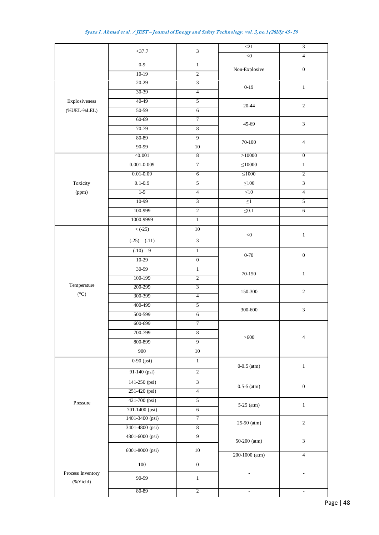|                                | $<$ 37.7         | $\mathfrak{Z}$                   | $<$ 21          | $\overline{3}$                 |  |
|--------------------------------|------------------|----------------------------------|-----------------|--------------------------------|--|
|                                |                  |                                  | < 0             | $\overline{4}$                 |  |
|                                | $0 - 9$          | $\overline{1}$                   | Non-Explosive   | $\boldsymbol{0}$               |  |
|                                | $10-19$          | $\overline{2}$                   |                 |                                |  |
|                                | $20 - 29$        | 3                                | $0 - 19$        | $\,1\,$                        |  |
|                                | 30-39            | $\overline{4}$                   |                 |                                |  |
| Explosiveness                  | 40-49            | 5                                | 20-44           | $\overline{2}$                 |  |
| $(\% UEL-\% LEL)$              | $50-59$          | $6\,$                            |                 |                                |  |
|                                | $60 - 69$        | 7                                | 45-69           | $\mathfrak{Z}$                 |  |
|                                | 70-79            | $\,8\,$                          |                 |                                |  |
|                                | 80-89            | 9                                | $70 - 100$      | $\overline{4}$                 |  |
|                                | 90-99<br>< 0.001 | 10<br>8                          | >10000          | $\overline{0}$                 |  |
|                                | $0.001 - 0.009$  | 7                                | $\leq 10000$    |                                |  |
|                                | $0.01 - 0.09$    | $\overline{6}$                   | $\leq$ 1000     | $\mathbf{1}$<br>$\overline{2}$ |  |
| Toxicity                       | $0.1 - 0.9$      | 5                                | $\leq100$       | $\overline{3}$                 |  |
| (ppm)                          | $1-9$            | $\overline{4}$                   | $\leq 10$       | $\overline{4}$                 |  |
|                                | 10-99            | $\overline{3}$                   | $\leq$          | 5                              |  |
|                                | 100-999          | $\overline{2}$                   | $\leq 0.1$      | $\overline{6}$                 |  |
|                                | 1000-9999        | $\overline{1}$                   |                 |                                |  |
|                                | $\lt$ (-25)      | $10\,$                           |                 |                                |  |
|                                |                  |                                  | $<\!0$          | $\,1\,$                        |  |
|                                | $(-25) - (-11)$  | $\overline{3}$                   |                 |                                |  |
|                                | $(-10) - 9$      | $\overline{1}$                   | $0 - 70$        | $\boldsymbol{0}$               |  |
|                                | $10-29$          | $\overline{0}$                   |                 |                                |  |
|                                | 30-99            | $\overline{1}$                   | $70 - 150$      | $\mathbf{1}$                   |  |
|                                | 100-199          | $\overline{2}$                   |                 |                                |  |
| Temperature<br>$({}^{\circ}C)$ | 200-299          | 3                                | 150-300         | $\sqrt{2}$                     |  |
|                                | 300-399          | $\overline{4}$                   |                 |                                |  |
|                                | 400-499          | 5                                | 300-600         | $\mathfrak{Z}$                 |  |
|                                | 500-599          | $6\,$                            |                 |                                |  |
|                                | 600-699          | $\overline{7}$                   |                 |                                |  |
|                                | 700-799          | $\overline{8}$<br>$\overline{9}$ | >600            | $\overline{4}$                 |  |
|                                | 800-899<br>900   |                                  |                 |                                |  |
|                                |                  | 10                               |                 |                                |  |
|                                | $0-90$ (psi)     | $\,1$                            | $0-0.5$ (atm)   | $\,1\,$                        |  |
|                                | 91-140 (psi)     | $\sqrt{2}$                       |                 |                                |  |
|                                | 141-250 (psi)    | $\overline{3}$                   | $0.5 - 5$ (atm) | $\boldsymbol{0}$               |  |
|                                | 251-420 (psi)    | $\overline{4}$                   |                 |                                |  |
| Pressure                       | 421-700 (psi)    | $\overline{5}$                   | $5-25$ (atm)    | $\,1\,$                        |  |
|                                | 701-1400 (psi)   | $\sqrt{6}$                       |                 |                                |  |
|                                | 1401-3400 (psi)  | 7                                | $25-50$ (atm)   | $\mathbf{2}$                   |  |
|                                | 3401-4800 (psi)  | 8                                |                 |                                |  |
|                                | 4801-6000 (psi)  | 9                                | 50-200 (atm)    | $\mathfrak{Z}$                 |  |
|                                | 6001-8000 (psi)  | $10\,$                           | 200-1000 (atm)  | $\overline{4}$                 |  |
|                                | 100              | $\overline{0}$                   |                 |                                |  |
| Process Inventory<br>(%Yield)  | 90-99            | $\,1$                            |                 |                                |  |
|                                | 80-89            | $\overline{2}$                   | $\sim$          | $\blacksquare$                 |  |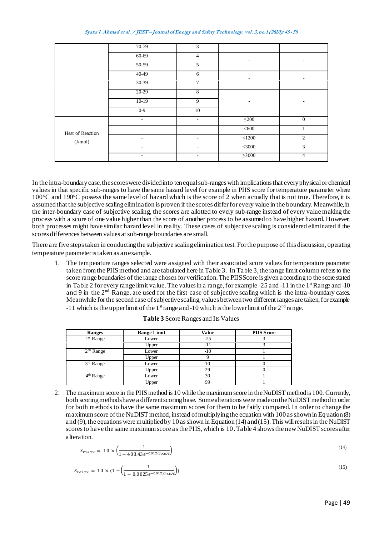|                  | 70-79                    | 3                        |             |                |  |
|------------------|--------------------------|--------------------------|-------------|----------------|--|
|                  | $60 - 69$                | $\overline{4}$           |             |                |  |
|                  | 50-59                    | 5                        |             |                |  |
|                  | 40-49                    | 6                        |             | ۰              |  |
|                  | 30-39                    | 7                        |             |                |  |
|                  | $20-29$                  | 8                        |             |                |  |
|                  | $10-19$                  | 9                        |             |                |  |
|                  | $0 - 9$                  | 10                       |             |                |  |
|                  | $\overline{\phantom{a}}$ | $\overline{\phantom{a}}$ | $\leq 200$  | $\mathbf{0}$   |  |
| Heat of Reaction |                          | $\overline{\phantom{0}}$ | <600        |                |  |
| (J/mol)          | ٠                        | ٠                        | $<1200\,$   | $\overline{2}$ |  |
|                  |                          |                          | <3000       | $\mathfrak{Z}$ |  |
|                  | ٠                        | ۰                        | $\geq$ 3000 | 4              |  |

In the intra-boundarycase, the scores were divided into ten equal sub-ranges with implications that every physical or chemical values in that specific sub-ranges to have the same hazard level for example in PIIS score for temperature parameter where 100°C and 190°C possess the same level of hazard which is the score of 2 when actually that is not true. Therefore, it is assumed that the subjective scaling elimination is proven if the scores differ for every value in the boundary. Meanwhile, in the inter-boundary case of subjective scaling, the scores are allotted to every sub-range instead of every value making the process with a score of one value higher than the score of another process to be assumed to have higher hazard. However, both processes might have similar hazard level in reality. These cases of subjective scaling is considered eliminated if the scores differences between values at sub-range boundaries are small.

There are five steps taken in conducting the subjective scaling elimination test. For the purpose of this discussion, operating temperature parameter is taken as an example.

1. The temperature ranges selected were assigned with their associated score values for temperature parameter taken from the PIISmethod and are tabulated here in Table 3. In Table 3, the range limit column refers to the score range boundaries of the range chosen for verification. The PIIS Score is given according to the score stated in Table 2 for every range limit value. The values in a range, for example -25 and -11 in the 1<sup>st</sup> Range and -10 and 9 in the 2nd Range, are used for the first case of subjective scaling which is the intra -boundary cases. Meanwhile for the second case of subjective scaling, values between two different ranges are taken, for example -11 which is the upper limit of the 1<sup>st</sup> range and -10 which is the lower limit of the  $2<sup>nd</sup>$  range.

| <b>Ranges</b> | <b>Range Limit</b> | <b>Value</b> | <b>PIIS Score</b> |
|---------------|--------------------|--------------|-------------------|
| $1st$ Range   | Lower              | $-25$        |                   |
|               | Upper              | - 1          |                   |
| $2nd$ Range   | Lower              | $-10$        |                   |
|               | Upper              |              |                   |
| $3rd$ Range   | Lower              |              |                   |
|               | Upper              | 29           |                   |
| $4th$ Range   | Lower              | 30           |                   |
|               | Upper              | <b>QC</b>    |                   |

**Table 3** Score Ranges and Its Values

2. The maximum score in the PIIS method is 10 while the maximum score in the NuDIST method is 100. Currently, both scoring methodshave a different scoring base. Some alterations were made on the NuDIST method in order for both methods to have the same maximum scores for them to be fairly compared. In order to change the maximum score of the NuDIST method, instead of multiplying the equation with 100 as shown in Equation (8) and (9), the equations were multiplied by 10 as shown in Equation (14) and (15). This will results in the NuDIST scores to have the same maximum score as the PIIS, which is 10.Table 4 shows the new NuDIST scores after alteration.

$$
S_{T>25^{\circ}C} = 10 \times \left(\frac{1}{1 + 403.43e^{-0.012x_{T>25^{\circ}C}}}\right) \tag{14}
$$

$$
S_{T < 25^{\circ}C} = 10 \times (1 - \left(\frac{1}{1 + 0.0025e^{-0.012x_{T < 25C}}}\right))\tag{15}
$$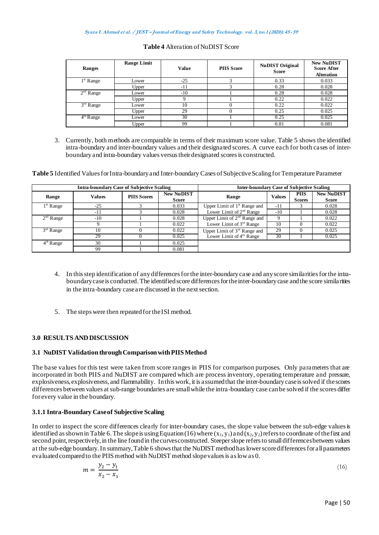| <b>Ranges</b> | <b>Range Limit</b> | Value | <b>PIIS Score</b> | <b>NuDIST Original</b><br><b>Score</b> | <b>New NuDIST</b><br><b>Score After</b><br><b>Alteration</b> |
|---------------|--------------------|-------|-------------------|----------------------------------------|--------------------------------------------------------------|
| $1st$ Range   | Lower              | $-25$ | ⌒                 | 0.33                                   | 0.033                                                        |
|               | Upper              | $-11$ |                   | 0.28                                   | 0.028                                                        |
| $2nd$ Range   | Lower              | $-10$ |                   | 0.28                                   | 0.028                                                        |
|               | Upper              |       |                   | 0.22                                   | 0.022                                                        |
| $3rd$ Range   | Lower              | 10    |                   | 0.22                                   | 0.022                                                        |
|               | Upper              | 29    |                   | 0.25                                   | 0.025                                                        |
| $4th$ Range   | Lower              | 30    |                   | 0.25                                   | 0.025                                                        |
|               | Upper              | 99    |                   | 0.81                                   | 0.081                                                        |

### **Table 4** Alteration of NuDIST Score

3. Currently, both methods are comparable in terms of their maximum score value. Table 5 shows the identified intra-boundary and inter-boundary values and their designated scores. A curve each for both cases of interboundary and intra-boundary values versus their designated scores is constructed.

**Table 5** Identified Values for Intra-boundary and Inter-boundary Cases of Subjective Scaling for Temperature Parameter

| <b>Intra-boundary Case of Subjective Scaling</b> |        |                    | <b>Inter-boundary Case of Subjective Scaling</b> |                                      |               |                              |                                   |
|--------------------------------------------------|--------|--------------------|--------------------------------------------------|--------------------------------------|---------------|------------------------------|-----------------------------------|
| Range                                            | Values | <b>PIIS Scores</b> | <b>New NuDIST</b><br><b>Score</b>                | Range                                | <b>Values</b> | <b>PIIS</b><br><b>Scores</b> | <b>New NuDIST</b><br><b>Score</b> |
| $1st$ Range                                      | $-25$  |                    | 0.033                                            | Upper Limit of $1st$ Range and       | $-11$         |                              | 0.028                             |
|                                                  | $-11$  |                    | 0.028                                            | Lower Limit of 2 <sup>nd</sup> Range | $-10$         |                              | 0.028                             |
| $2nd$ Range                                      | $-10$  |                    | 0.028                                            | Upper Limit of $2nd$ Range and       | Q             |                              | 0.022                             |
|                                                  |        |                    | 0.022                                            | Lower Limit of 3 <sup>rd</sup> Range | 10            |                              | 0.022                             |
| $3rd$ Range                                      | 10     |                    | 0.022                                            | Upper Limit of 3rd Range and         | 29            |                              | 0.025                             |
|                                                  | 29     |                    | 0.025                                            | Lower Limit of $4th$ Range           | 30            |                              | 0.025                             |
| $4th$ Range                                      | 30     |                    | 0.025                                            |                                      |               |                              |                                   |
|                                                  | 99     |                    | 0.081                                            |                                      |               |                              |                                   |

- 4. In this step identification of any differences for the inter-boundary case and any score similarities for the intraboundary case is conducted.The identified score differences for the inter-boundary case and the score similarities in the intra-boundary case are discussed in the next section.
- 5. The steps were then repeated for the ISI method.

# **3.0 RESULTS AND DISCUSSION**

#### **3.1 NuDIST Validation through Comparison with PIIS Method**

The base values for this test were taken from score ranges in PIIS for comparison purposes. Only parameters that are incorporated in both PIIS and NuDIST are compared which are process inventory, operating temperature and pressure, explosiveness, explosiveness, and flammability. In this work, it is assumed that the inter-boundary case is solved if the scores differences between values at sub-range boundaries are small while the intra-boundary case canbe solved if the scores differ for every value in the boundary.

#### **3.1.1 Intra-Boundary Case of Subjective Scaling**

In order to inspect the score differences clearly for inter-boundary cases, the slope value between the sub-edge values is identified as shown in Table 6. The slope is using Equation (16) where  $(x_1, y_1)$  and  $(x_2, y_2)$  refers to coordinate of the first and second point, respectively, in the line found in the curves constructed. Steeperslope refers to small differences between values at the sub-edge boundary.In summary, Table 6 shows that the NuDIST method has lower score differences for all parameters evaluated compared to the PIIS method with NuDIST method slope values is as low as 0.

$$
m = \frac{y_2 - y_1}{x_2 - x_1} \tag{16}
$$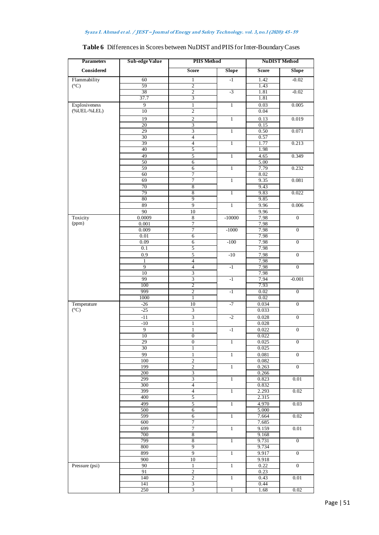| <b>Parameters</b>              | <b>Sub-edge Value</b> | <b>PIIS Method</b>                         |                 | <b>NuDIST Method</b> |                  |
|--------------------------------|-----------------------|--------------------------------------------|-----------------|----------------------|------------------|
| Considered                     |                       | <b>Score</b>                               | <b>Slope</b>    | Score                | <b>Slope</b>     |
| Flammability                   | 60                    | $\mathbf{1}$                               | $-1$            | 1.42                 | $-0.02$          |
| $({}^{\circ}C)$                | 59                    | $\overline{2}$                             |                 | 1.43                 |                  |
|                                | 38                    | $\overline{c}$                             | $-3$            | 1.81                 | $-0.02$          |
|                                | 37.7                  | 3                                          |                 | 1.81                 |                  |
| Explosiveness<br>(%UEL-%LEL)   | 9<br>10               | $\mathbf{1}$<br>$\sqrt{2}$                 | $\,1$           | 0.03<br>0.04         | 0.005            |
|                                | 19                    | $\overline{2}$                             | $\mathbf{1}$    | 0.13                 | 0.019            |
|                                | 20                    | $\overline{3}$                             |                 | 0.15                 |                  |
|                                | 29                    | $\ensuremath{\mathfrak{Z}}$                | $\overline{1}$  | 0.50                 | 0.071            |
|                                | 30                    | $\overline{4}$                             |                 | 0.57                 |                  |
|                                | 39                    | $\overline{4}$                             | $\overline{1}$  | 1.77                 | 0.213            |
|                                | 40<br>49              | 5<br>5                                     | $\overline{1}$  | 1.98<br>4.65         | 0.349            |
|                                | 50                    | $\overline{6}$                             |                 | 5.00                 |                  |
|                                | 59                    | 6                                          | $\mathbf{1}$    | 7.79                 | 0.232            |
|                                | 60                    | $\overline{7}$                             |                 | 8.02                 |                  |
|                                | 69                    | $\overline{7}$                             | $\mathbf{1}$    | 9.35                 | 0.081            |
|                                | 70<br>79              | 8<br>8                                     | $\overline{1}$  | 9.43<br>9.83         | 0.022            |
|                                | 80                    | $\overline{9}$                             |                 | 9.85                 |                  |
|                                | 89                    | $\overline{9}$                             | $\overline{1}$  | 9.96                 | 0.006            |
|                                | 90                    | 10                                         |                 | 9.96                 |                  |
| Toxicity                       | 0.0009                | $\,$ 8 $\,$                                | $-10000$        | 7.98                 | $\mathbf{0}$     |
| (ppm)                          | 0.001                 | 7                                          |                 | 7.98                 |                  |
|                                | 0.009<br>0.01         | $\overline{7}$<br>$\overline{6}$           | $-1000$         | 7.98<br>7.98         | $\mathbf{0}$     |
|                                | 0.09                  | $\overline{6}$                             | $-100$          | 7.98                 | $\overline{0}$   |
|                                | 0.1                   | 5                                          |                 | 7.98                 |                  |
|                                | 0.9                   | 5                                          | $-10$           | 7.98                 | $\overline{0}$   |
|                                | $\mathbf{1}$          | $\overline{4}$                             |                 | 7.98                 |                  |
|                                | 9<br>10               | $\overline{4}$<br>$\overline{3}$           | $^{\rm -1}$     | 7.98<br>7.98         | $\mathbf{0}$     |
|                                | 99                    | $\overline{\mathbf{3}}$                    | $-1$            | 7.94                 | $-0.001$         |
|                                | 100                   | $\overline{2}$                             |                 | 7.93                 |                  |
|                                | 999                   | $\overline{2}$                             | $\overline{-1}$ | 0.02                 | $\overline{0}$   |
|                                | 1000                  | $\mathbf{1}$                               |                 | 0.02                 |                  |
| Temperature<br>$({}^{\circ}C)$ | $-26$<br>$-25$        | $\overline{10}$<br>$\overline{\mathbf{3}}$ | $-7$            | 0.034<br>0.033       | $\overline{0}$   |
|                                | $-11$                 | $\overline{\mathbf{3}}$                    | $-2$            | 0.028                | $\overline{0}$   |
|                                | $-10$                 | $\mathbf{1}$                               |                 | 0.028                |                  |
|                                | $\overline{9}$        | $\mathbf{1}$                               | $-1$            | 0.022                | $\overline{0}$   |
|                                | 10                    | $\overline{0}$                             |                 | 0.022                |                  |
|                                | 29                    | $\overline{0}$                             |                 | 0.025                | $\boldsymbol{0}$ |
|                                | 30<br>99              | $\overline{1}$<br>$\mathbf{1}$             | $\mathbf{1}$    | 0.025                | $\mathbf{0}$     |
|                                | 100                   | $\overline{2}$                             |                 | 0.081<br>0.082       |                  |
|                                | 199                   | $\overline{2}$                             | $\,1$           | 0.263                | $\overline{0}$   |
|                                | 200                   | $\overline{3}$                             |                 | 0.266                |                  |
|                                | 299                   | $\overline{\mathbf{3}}$                    | $\overline{1}$  | 0.823                | 0.01             |
|                                | 300<br>399            | $\overline{4}$<br>$\overline{4}$           | $\overline{1}$  | 0.832<br>2.293       | 0.02             |
|                                | 400                   | 5                                          |                 | 2.315                |                  |
|                                | 499                   | 5                                          | $\overline{1}$  | 4.970                | 0.03             |
|                                | 500                   | $\overline{6}$                             |                 | 5.000                |                  |
|                                | 599                   | 6                                          | $\,1\,$         | 7.664                | 0.02             |
|                                | 600                   | 7<br>$\overline{7}$                        | $\mathbf{1}$    | 7.685                | 0.01             |
|                                | 699<br>700            | 8                                          |                 | 9.159<br>9.168       |                  |
|                                | 799                   | 8                                          | $\overline{1}$  | 9.731                | $\overline{0}$   |
|                                | 800                   | 9                                          |                 | 9.734                |                  |
|                                | 899                   | $\overline{9}$                             | $\overline{1}$  | 9.917                | $\overline{0}$   |
|                                | 900                   | $10\,$                                     |                 | 9.918                |                  |
| Pressure (psi)                 | 90<br>91              | $\mathbf{1}$<br>$\overline{2}$             | $\mathbf{1}$    | 0.22<br>0.23         | $\mathbf{0}$     |
|                                | 140                   | $\sqrt{2}$                                 | $\,1\,$         | 0.43                 | 0.01             |
|                                | 141                   | $\overline{3}$                             |                 | 0.44                 |                  |
|                                | 250                   | 3                                          | 1               | 1.68                 | 0.02             |

# **Table 6** Differences in Scores between NuDIST and PIIS for Inter-Boundary Cases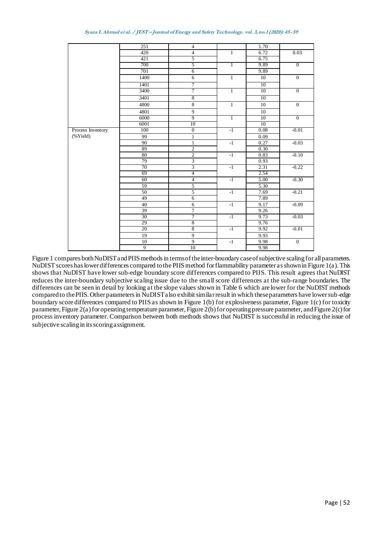| Syaza I. Ahmad et al. / JEST – Journal of Energy and Safety Technology. vol. 3, no.1 (2020): 45-59 |  |  |  |  |  |
|----------------------------------------------------------------------------------------------------|--|--|--|--|--|
|----------------------------------------------------------------------------------------------------|--|--|--|--|--|

|                   | 251            | $\overline{4}$          |                                | 1.70              |                  |
|-------------------|----------------|-------------------------|--------------------------------|-------------------|------------------|
|                   | 420            | $\overline{4}$          | $\mathbf{1}$                   | 6.72              | 0.03             |
|                   | 421            | 5                       |                                | 6.75              |                  |
|                   | 700            | 5                       | $\overline{1}$                 | 9.89              | $\overline{0}$   |
|                   | 701            | 6                       |                                | 9.89              |                  |
|                   | 1400           | 6                       | $\mathbf{1}$                   | 10                | $\mathbf{0}$     |
|                   | 1401           | 7                       |                                | 10                |                  |
|                   | 3400           | 7                       | $\overline{1}$                 | 10                | $\overline{0}$   |
|                   | 3401           | $\overline{8}$          |                                | 10                |                  |
|                   | 4800           | $\overline{8}$          | $\overline{1}$                 | 10                | $\overline{0}$   |
|                   | 4801           | 9                       |                                | 10                |                  |
|                   | 6000           | 9                       | $\overline{1}$                 | 10                | $\overline{0}$   |
|                   | 6001           | 10                      |                                | 10                |                  |
| Process Inventory | 100            | $\overline{0}$          | $\overline{\cdot \cdot \cdot}$ | 0.08              | $-0.01$          |
| $(%$ (% $Yield)$  | 99             | $\mathbf{1}$            |                                | 0.09              |                  |
|                   | 90             | $\mathbf{1}$            | $-1$                           | 0.27              | $-0.03$          |
|                   | 89             | $\overline{2}$          |                                | 0.30              |                  |
|                   | 80             | $\overline{2}$          | $-1$                           | 0.83              | $-0.10$          |
|                   | 79             | $\overline{\mathbf{3}}$ |                                | 0.93              |                  |
|                   | 70             | 3                       | -1                             | 2.31              | $-0.22$          |
|                   | 69             | $\overline{4}$          |                                | 2.54              |                  |
|                   | 60             | 4                       | -1                             | 5.00              | $-0.30$          |
|                   | 59             | $\overline{5}$          |                                | $\overline{5.30}$ |                  |
|                   | 50             | $\overline{5}$          | $-1$                           | 7.69              | $-0.21$          |
|                   | 49             | $\overline{6}$          |                                | 7.89              |                  |
|                   | 40             | $\sqrt{6}$              | $-1$                           | 9.17              | $-0.09$          |
|                   | 39             | $\overline{7}$          |                                | 9.26              |                  |
|                   | 30             | 7                       | $-1$                           | 9.73              | $-0.03$          |
|                   | 29             | $\overline{8}$          |                                | 9.76              |                  |
|                   | 20             | 8                       | $-1$                           | 9.92              | $-0.01$          |
|                   | 19             | $\overline{9}$          |                                | 9.93              |                  |
|                   | 10             | $\overline{9}$          | $-1$                           | 9.98              | $\boldsymbol{0}$ |
|                   | $\overline{9}$ | 10                      |                                | 9.98              |                  |

Figure 1 compares both NuDIST and PIIS methods in terms of the inter-boundary case of subjective scaling for all parameters. NuDIST scores has lower differences compared to the PIIS method for flammability parameter as shown in Figure 1(a). This shows that NuDIST have lower sub-edge boundary score differences compared to PIIS. This result agrees that NuDIST reduces the inter-boundary subjective scaling issue due to the small score differences at the sub-range boundaries. The differences can be seen in detail by looking at the slope values shown in Table 6 which are lower for the NuDIST methods compared to thePIIS.Other parameters in NuDIST also exhibit similar result in which these parameters have lower sub-edge boundary score differences compared to PIIS as shown in Figure 1(b) for explosiveness parameter, Figure 1(c) for toxicity parameter, Figure 2(a) for operating temperature parameter, Figure 2(b) for operating pressure parameter, and Figure 2(c) for process inventory parameter. Comparison between both methods shows that NuDIST is successful in reducing the issue of subjective scaling in its scoring assignment.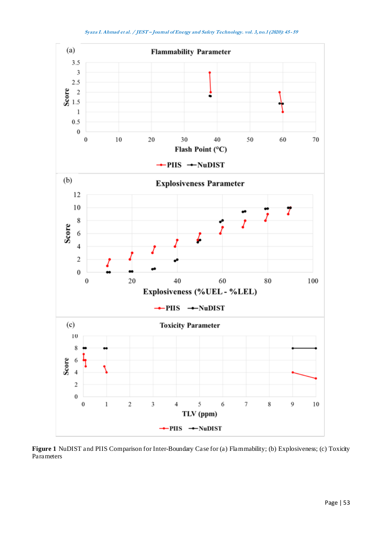

**Figure 1** NuDIST and PIIS Comparison for Inter-Boundary Case for (a) Flammability; (b) Explosiveness; (c) Toxicity Parameters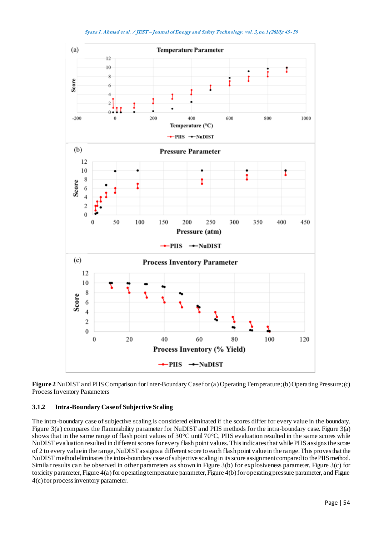

**Figure 2** NuDIST and PIIS Comparison for Inter-Boundary Case for (a) Operating Temperature; (b) Operating Pressure; (c) Process Inventory Parameters

## **3.1.2 Intra-Boundary Case of Subjective Scaling**

The intra-boundary case of subjective scaling is considered eliminated if the scores differ for every value in the boundary. Figure 3(a) compares the flammability parameter for NuDIST and PIIS methods for the intra-boundary case. Figure 3(a) shows that in the same range of flash point values of 30°C until 70°C, PIIS evaluation resulted in the same scores while NuDIST evaluation resulted in different scores for every flash point values. This indicates that while PIIS assigns the score of 2 to every value in the range, NuDIST assigns a different score to each flash point value in the range. This proves that the NuDIST method eliminates the intra-boundary case of subjective scaling in its score assignment compared to the PIIS method. Similar results can be observed in other parameters as shown in Figure 3(b) for explosiveness parameter, Figure 3(c) for toxicity parameter, Figure 4(a) for operating temperature parameter, Figure 4(b) for operating pressure parameter, and Figure 4(c) for process inventory parameter.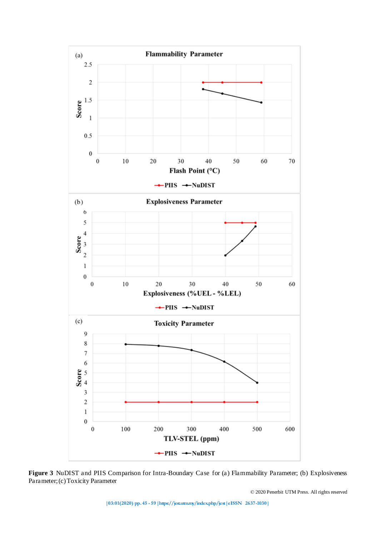

**Figure 3** NuDIST and PIIS Comparison for Intra-Boundary Case for (a) Flammability Parameter; (b) Explosiveness Parameter; (c) Toxicity Parameter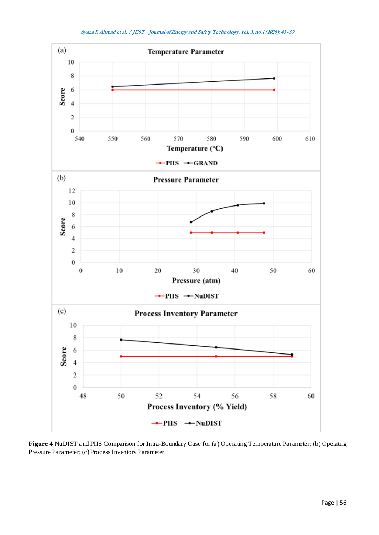



**Figure 4** NuDIST and PIIS Comparison for Intra-Boundary Case for (a) Operating Temperature Parameter; (b) Operating Pressure Parameter; (c) Process Inventory Parameter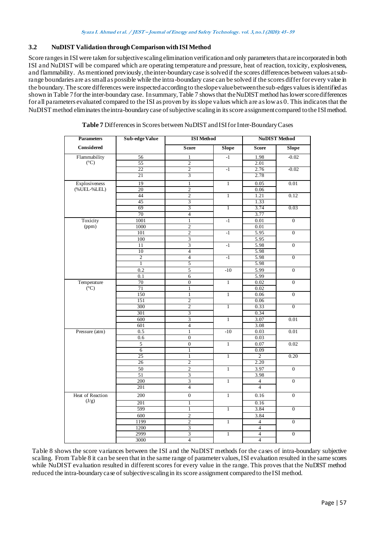# **3.2 NuDIST Validation through Comparison with ISI Method**

Score ranges in ISI were taken for subjective scaling elimination verification and only parameters that are incorporated in both ISI and NuDIST will be compared which are operating temperature and pressure, heat of reaction, toxicity, explosiveness, and flammability. As mentioned previously, the inter-boundary case is solved if the scores differences between values at subrange boundaries are as smallas possible while the intra-boundary case can be solved if the scores differfor every value in the boundary. The score differences were inspected according to the slope value between the sub-edges values is identified as shown in Table 7for the inter-boundary case. In summary, Table 7 shows that the NuDIST method has lower score differences for all parameters evaluated compared to the ISI as proven by itsslope values which are as low as 0. This indicates that the NuDIST method eliminates the intra-boundary case of subjective scaling in its score assignment compared to the ISI method.

| <b>Parameters</b> | <b>Sub-edge Value</b> | <b>ISI</b> Method       |                | <b>NuDIST Method</b>     |                  |
|-------------------|-----------------------|-------------------------|----------------|--------------------------|------------------|
| Considered        |                       | <b>Score</b>            | <b>Slope</b>   | <b>Score</b>             | Slope            |
| Flammability      | 56                    | $\mathbf{1}$            | $-1$           | 1.98                     | $-0.02$          |
| $({}^{\circ}C)$   | $\overline{55}$       | $\overline{c}$          |                | 2.01                     |                  |
|                   | $\overline{22}$       | $\overline{2}$          | $-1$           | 2.76                     | $-0.02$          |
|                   | 21                    | 3                       |                | 2.78                     |                  |
| Explosiveness     | 19                    | $\mathbf{1}$            | $\mathbf{1}$   | 0.05                     | 0.01             |
| (%UEL-%LEL)       | 20                    | $\overline{2}$          |                | 0.06                     |                  |
|                   | 44                    | $\overline{2}$          | $\mathbf{1}$   | 1.21                     | 0.12             |
|                   | 45                    | 3                       |                | 1.33                     |                  |
|                   | 69                    | $\overline{3}$          | $\overline{1}$ | 3.74                     | 0.03             |
|                   | 70                    | $\overline{4}$          |                | 3.77                     |                  |
| Toxicity          | 1001                  | $\overline{1}$          | $-1$           | 0.01                     | $\overline{0}$   |
| (ppm)             | 1000                  | $\overline{2}$          |                | 0.01                     |                  |
|                   | 101                   | $\overline{2}$          | $-1$           | 5.95                     | $\overline{0}$   |
|                   | 100                   | $\overline{3}$          |                | 5.95                     |                  |
|                   | 11                    | $\overline{3}$          | $-1$           | 5.98                     | $\overline{0}$   |
|                   | 10                    | $\overline{4}$          |                | 5.98                     |                  |
|                   | $\overline{2}$        | $\overline{4}$          | -1             | 5.98                     | $\overline{0}$   |
|                   | $\mathbf{1}$          | 5                       |                | 5.98                     |                  |
|                   | 0.2                   | $\overline{5}$          | $-10$          | 5.99                     | $\overline{0}$   |
|                   | 0.1                   | 6                       |                | 5.99                     |                  |
| Temperature       | 70                    | $\overline{0}$          | $\mathbf{1}$   | 0.02                     | $\overline{0}$   |
| $(^{\circ}C)$     | 71                    | $\mathbf{1}$            |                | 0.02                     |                  |
|                   | 150                   | $\mathbf{1}$            | $\mathbf{1}$   | 0.06                     | $\Omega$         |
|                   | 151                   | $\overline{2}$          |                | 0.06                     |                  |
|                   | 300                   | $\overline{2}$          | T              | 0.33                     | $\overline{0}$   |
|                   | 301                   | 3                       |                | 0.34                     |                  |
|                   | 600                   | $\overline{3}$          | $\mathbf{1}$   | 3.07                     | 0.01             |
|                   | 601                   | $\overline{4}$          |                | 3.08                     |                  |
| Pressure (atm)    | 0.5                   | $\overline{1}$          | $-10$          | 0.03                     | 0.01             |
|                   | 0.6                   | $\boldsymbol{0}$        |                | 0.03                     |                  |
|                   | 5                     | $\overline{0}$          | $\mathbf{1}$   | 0.07                     | 0.02             |
|                   | $\overline{6}$        | $\mathbf{1}$            |                | 0.09                     |                  |
|                   | 25                    | $\overline{1}$          | $\overline{1}$ | $\overline{2}$           | 0.20             |
|                   | 26                    | 2                       |                | 2.20                     |                  |
|                   | 50                    | $\overline{2}$          | $\mathbf{1}$   | 3.97                     | $\overline{0}$   |
|                   | 51                    | $\overline{\mathbf{3}}$ |                | 3.98                     |                  |
|                   | 200                   | $\overline{\mathbf{3}}$ | $\overline{1}$ | $\overline{4}$           | $\overline{0}$   |
|                   | 201                   | $\overline{4}$          |                | $\overline{4}$           |                  |
| Heat of Reaction  | 200                   | $\overline{0}$          | $\mathbf{1}$   | 0.16                     | $\overline{0}$   |
| (J/g)             | 201                   | T                       |                | 0.16                     |                  |
|                   | 599                   | $\overline{1}$          | $\mathbf{1}$   | 3.84                     | $\overline{0}$   |
|                   | 600                   | $\overline{2}$          |                | 3.84                     |                  |
|                   | 1199                  | $\overline{2}$          | $\mathbf{1}$   | $\overline{4}$           | $\overline{0}$   |
|                   | 1200                  | $\overline{3}$          |                | $\overline{4}$           |                  |
|                   | 2999                  | $\overline{3}$          | $\mathbf{1}$   | $\overline{\mathcal{L}}$ | $\boldsymbol{0}$ |
|                   | 3000                  | $\overline{4}$          |                | $\overline{4}$           |                  |

**Table 7** Differences in Scores between NuDIST and ISI for Inter-Boundary Cases

Table 8 shows the score variances between the ISI and the NuDIST methods for the cases of intra-boundary subjective scaling. From Table 8 it can be seen that in the same range of parameter values, ISI evaluation resulted in the same scores while NuDIST evaluation resulted in different scores for every value in the range. This proves that the NuDIST method reduced the intra-boundary case of subjective scaling in its score assignment compared to the ISI method.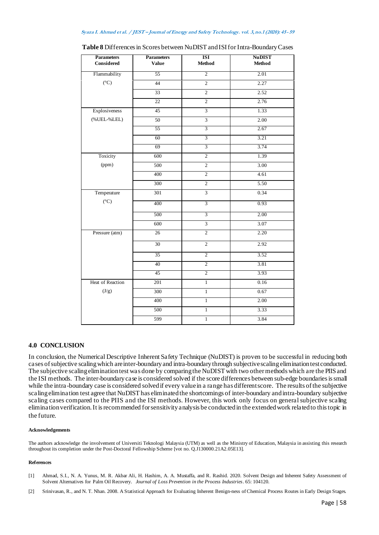| <b>Parameters</b><br><b>Considered</b> | <b>Parameters</b><br><b>Value</b> | <b>ISI</b><br>Method | <b>NuDIST</b><br><b>Method</b> |
|----------------------------------------|-----------------------------------|----------------------|--------------------------------|
| Flammability                           | 55                                | $\overline{2}$       | 2.01                           |
| $({}^{\circ}C)$                        | 44                                | $\overline{2}$       | 2.27                           |
|                                        | 33                                | $\overline{2}$       | 2.52                           |
|                                        | $\overline{22}$                   | $\overline{2}$       | 2.76                           |
| Explosiveness                          | 45                                | $\overline{3}$       | 1.33                           |
| (%UEL-%LEL)                            | 50                                | $\overline{3}$       | 2.00                           |
|                                        | 55                                | $\overline{3}$       | 2.67                           |
|                                        | 60                                | 3                    | 3.21                           |
|                                        | 69                                | $\overline{3}$       | 3.74                           |
| Toxicity                               | 600                               | $\overline{2}$       | 1.39                           |
| (ppm)                                  | 500                               | $\overline{2}$       | 3.00                           |
|                                        | 400                               | $\overline{2}$       | 4.61                           |
|                                        | 300                               | $\overline{2}$       | 5.50                           |
| Temperature                            | $\overline{301}$                  | $\overline{3}$       | 0.34                           |
| $({}^{\circ}C)$                        | 400                               | $\overline{3}$       | 0.93                           |
|                                        | 500                               | 3                    | 2.00                           |
|                                        | 600                               | $\overline{3}$       | 3.07                           |
| Pressure (atm)                         | $26\,$                            | $\overline{2}$       | 2.20                           |
|                                        | $\overline{30}$                   | $\overline{2}$       | 2.92                           |
|                                        | 35                                | $\overline{2}$       | 3.52                           |
|                                        | 40                                | $\overline{2}$       | 3.81                           |
|                                        | 45                                | 2                    | 3.93                           |
| Heat of Reaction                       | 201                               | $\overline{1}$       | 0.16                           |
| (J/g)                                  | 300                               | $\overline{1}$       | 0.67                           |
|                                        | 400                               | $\overline{1}$       | 2.00                           |
|                                        | 500                               | $\,1$                | 3.33                           |
|                                        | 599                               | $\overline{1}$       | 3.84                           |

Table 8 Differences in Scores between NuDIST and ISI for Intra-Boundary Cases

#### **4.0 CONCLUSION**

In conclusion, the Numerical Descriptive Inherent Safety Technique (NuDIST) is proven to be successful in reducing both cases of subjective scaling which are inter-boundary and intra-boundary through subjective scaling eliminationtest conducted. The subjective scaling elimination test was done by comparing the NuDIST with two other methods which are the PIIS and the ISI methods. The inter-boundary case is considered solved if the score differences between sub-edge boundaries is small while the intra-boundary case is considered solved if every value in a range has different score. The results of the subjective scaling elimination test agree that NuDIST has eliminatedthe shortcomings of inter-boundary and intra-boundary subjective scaling cases compared to the PIIS and the ISI methods. However, this work only focus on general subjective scaling elimination verification. It is recommended for sensitivity analysis be conducted in the extended work related to this topic in the future.

#### **Acknowledgements**

The authors acknowledge the involvement of Universiti Teknologi Malaysia (UTM) as well as the Ministry of Education, Malaysia in assisting this research throughout its completion under the Post-Doctoral Fellowship Scheme [vot no. Q.J130000.21A2.05E13].

#### **References**

- [1] Ahmad, S.I., N. A. Yunus, M. R. Akbar Ali, H. Hashim, A. A. Mustaffa, and R. Rashid. 2020. Solvent Design and Inherent Safety Assessment of Solvent Alternatives for Palm Oil Recovery. *Journal of Loss Prevention in the Process Industries*. 65: 104120.
- [2] Srinivasan, R., and N. T. Nhan. 2008. A Statistical Approach for Evaluating Inherent Benign-ness of Chemical Process Routes in Early Design Stages.